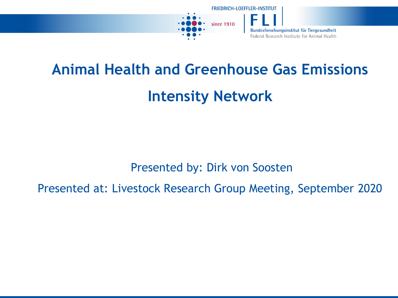

# **Animal Health and Greenhouse Gas Emissions Intensity Network**

#### Presented by: Dirk von Soosten

Presented at: Livestock Research Group Meeting, September 2020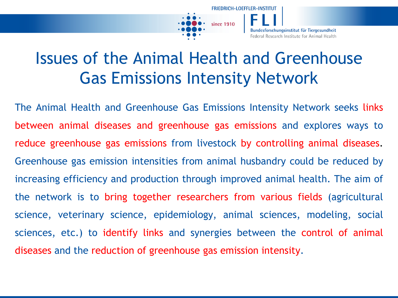

## Issues of the Animal Health and Greenhouse Gas Emissions Intensity Network

The Animal Health and Greenhouse Gas Emissions Intensity Network seeks links between animal diseases and greenhouse gas emissions and explores ways to reduce greenhouse gas emissions from livestock by controlling animal diseases. Greenhouse gas emission intensities from animal husbandry could be reduced by increasing efficiency and production through improved animal health. The aim of the network is to bring together researchers from various fields (agricultural science, veterinary science, epidemiology, animal sciences, modeling, social sciences, etc.) to identify links and synergies between the control of animal diseases and the reduction of greenhouse gas emission intensity.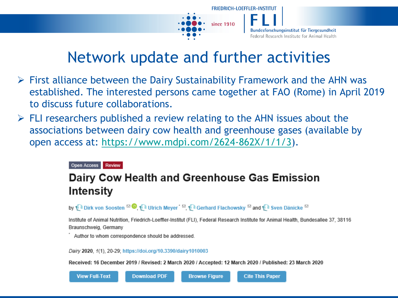

### Network update and further activities

- $\triangleright$  First alliance between the Dairy Sustainability Framework and the AHN was established. The interested persons came together at FAO (Rome) in April 2019 to discuss future collaborations.
- $\triangleright$  FLI researchers published a review relating to the AHN issues about the associations between dairy cow health and greenhouse gases (available by open access at: [https://www.mdpi.com/2624-862X/1/1/3\)](https://www.mdpi.com/2624-862X/1/1/3).

#### Open Access Review

#### Dairy Cow Health and Greenhouse Gas Emission **Intensity**

by **Dirk von Soosten <sup>®</sup> C** Ulrich Meyer<sup>' ©</sup> C Gerhard Flachowsky <sup>®</sup> and C Sven Dänicke <sup>®</sup>

Institute of Animal Nutrition, Friedrich-Loeffler-Institut (FLI), Federal Research Institute for Animal Health, Bundesallee 37, 38116 Braunschweig, Germany

Author to whom correspondence should be addressed.

Dairy 2020, 1(1), 20-29; https://doi.org/10.3390/dairy1010003

Received: 16 December 2019 / Revised: 2 March 2020 / Accepted: 12 March 2020 / Published: 23 March 2020

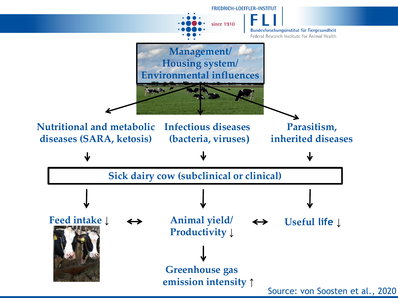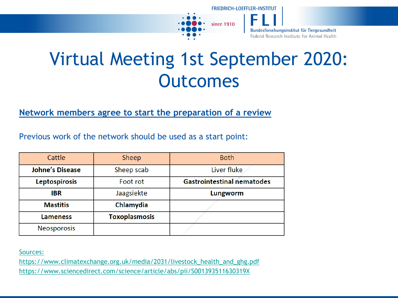

#### **Network members agree to start the preparation of a review**

Previous work of the network should be used as a start point:

| Cattle                 | Sheep                | <b>Both</b>                       |
|------------------------|----------------------|-----------------------------------|
| <b>Johne's Disease</b> | Sheep scab           | Liver fluke                       |
| <b>Leptospirosis</b>   | Foot rot             | <b>Gastrointestinal nematodes</b> |
| <b>IBR</b>             | Jaagsiekte           | Lungworm                          |
| <b>Mastitis</b>        | Chlamydia            |                                   |
| <b>Lameness</b>        | <b>Toxoplasmosis</b> |                                   |
| <b>Neosporosis</b>     |                      |                                   |

[Sources:](https://www.climatexchange.org.uk/media/2031/livestock_health_and_ghg.pdf)

[https://www.climatexchange.org.uk/media/2031/livestock\\_health\\_and\\_ghg.pdf](https://www.climatexchange.org.uk/media/2031/livestock_health_and_ghg.pdf) <https://www.sciencedirect.com/science/article/abs/pii/S001393511630319X>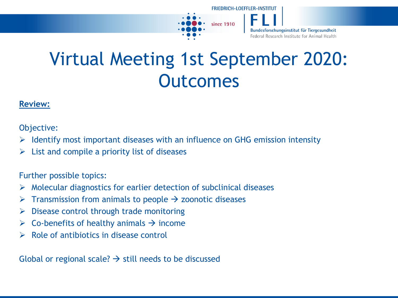

#### **Review:**

Objective:

- $\triangleright$  Identify most important diseases with an influence on GHG emission intensity
- $\triangleright$  List and compile a priority list of diseases

Further possible topics:

- $\triangleright$  Molecular diagnostics for earlier detection of subclinical diseases
- $\triangleright$  Transmission from animals to people  $\rightarrow$  zoonotic diseases
- $\triangleright$  Disease control through trade monitoring
- $\triangleright$  Co-benefits of healthy animals  $\rightarrow$  income
- ➢ Role of antibiotics in disease control

Global or regional scale?  $\rightarrow$  still needs to be discussed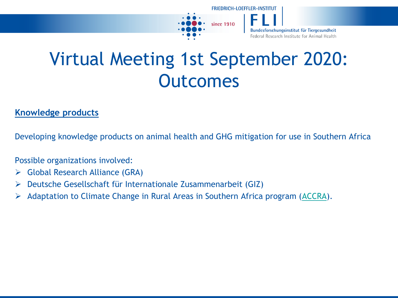

#### **Knowledge products**

Developing knowledge products on animal health and GHG mitigation for use in Southern Africa

Possible organizations involved:

- ➢ Global Research Alliance (GRA)
- ➢ Deutsche Gesellschaft für Internationale Zusammenarbeit (GIZ)
- Adaptation to Climate Change in Rural Areas in Southern Africa program [\(ACCRA\)](https://scanmail.trustwave.com/?c=4477&d=ibjW3_A1HzCwjVOjUcK6XQjqN3AX-XwxLdInKdhkrw&u=https%3a%2f%2feur02%2esafelinks%2eprotection%2eoutlook%2ecom%2f%3furl%3dhttps%253A%252F%252Fscanmail%2etrustwave%2ecom%252F%253Fc%253D4477%2526d%253D%5ffHP32VPRf%5fdrf9isnA4Qlt1od1SfChP2Qw0TBkFnw%2526u%253Dhttps%253A%25252f%25252feur02%2esafelinks%2eprotection%2eoutlook%2ecom%25252f%25253furl%25253dhttps%2525253A%2525252F%2525252Fwww%2eccardesa%2eorg%2525252Faccra%252526data%25253d02%2525257C01%2525257C%2525257C7dc3aea8551d412e3f6508d84e978f65%2525257Cd47b090e3f5a4ca084d09f89d269f175%2525257C0%2525257C0%2525257C637345760149354786%252526sdata%25253dySMR%2525252BU%2525252BKnX4pJJ%2525252BCCHP6KCQ7G7sRs9cp00Z46Hp8I%2525252Fk%2525253D%252526reserved%25253d0%26data%3d02%257C01%257C%257C3c61353709bd413dba0108d84f2b09af%257Cd47b090e3f5a4ca084d09f89d269f175%257C0%257C0%257C637346393804766500%26sdata%3d8n5GCiaMBgncyY6VfXrM374BI%252Fg2CTPLbmwAn%252F%252F1Zg4%253D%26reserved%3d0).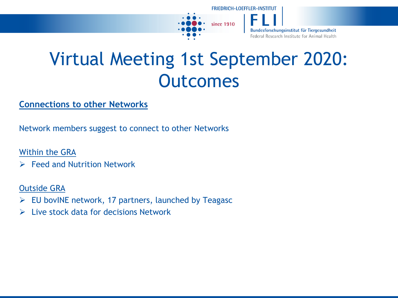

**Connections to other Networks**

Network members suggest to connect to other Networks

Within the GRA

➢ Feed and Nutrition Network

Outside GRA

- $\triangleright$  EU bovINE network, 17 partners, launched by Teagasc
- $\triangleright$  Live stock data for decisions Network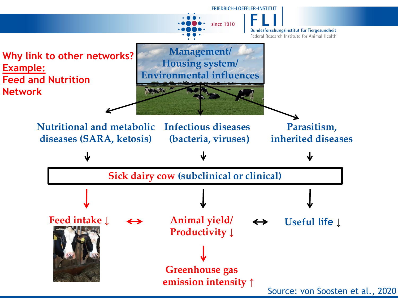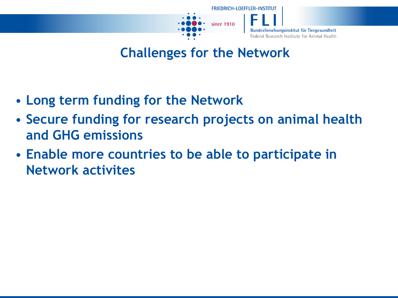

#### **Challenges for the Network**

- **Long term funding for the Network**
- **Secure funding for research projects on animal health and GHG emissions**
- **Enable more countries to be able to participate in Network activites**